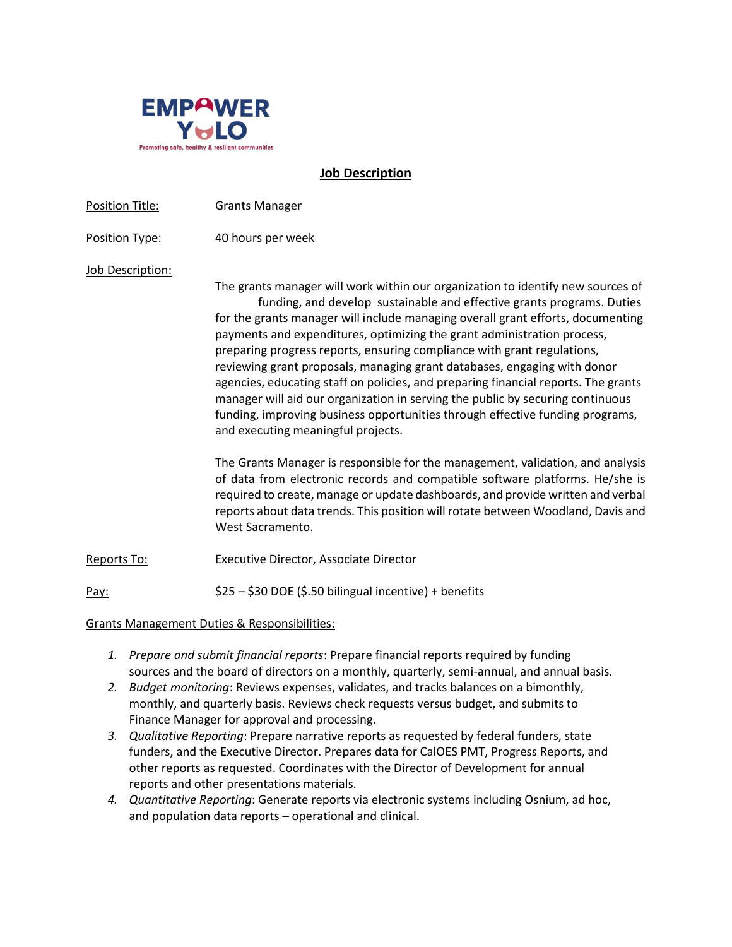

#### **Job Description**

| Position Title:  | <b>Grants Manager</b>                                                                                                                                                                                                                                                                                                                                                                                                                                                                                                                                                                                                                                                                                                                                                                                                                                                                                                                                                                                                                                                                                                  |
|------------------|------------------------------------------------------------------------------------------------------------------------------------------------------------------------------------------------------------------------------------------------------------------------------------------------------------------------------------------------------------------------------------------------------------------------------------------------------------------------------------------------------------------------------------------------------------------------------------------------------------------------------------------------------------------------------------------------------------------------------------------------------------------------------------------------------------------------------------------------------------------------------------------------------------------------------------------------------------------------------------------------------------------------------------------------------------------------------------------------------------------------|
| Position Type:   | 40 hours per week                                                                                                                                                                                                                                                                                                                                                                                                                                                                                                                                                                                                                                                                                                                                                                                                                                                                                                                                                                                                                                                                                                      |
| Job Description: | The grants manager will work within our organization to identify new sources of<br>funding, and develop sustainable and effective grants programs. Duties<br>for the grants manager will include managing overall grant efforts, documenting<br>payments and expenditures, optimizing the grant administration process,<br>preparing progress reports, ensuring compliance with grant regulations,<br>reviewing grant proposals, managing grant databases, engaging with donor<br>agencies, educating staff on policies, and preparing financial reports. The grants<br>manager will aid our organization in serving the public by securing continuous<br>funding, improving business opportunities through effective funding programs,<br>and executing meaningful projects.<br>The Grants Manager is responsible for the management, validation, and analysis<br>of data from electronic records and compatible software platforms. He/she is<br>required to create, manage or update dashboards, and provide written and verbal<br>reports about data trends. This position will rotate between Woodland, Davis and |
|                  | West Sacramento.                                                                                                                                                                                                                                                                                                                                                                                                                                                                                                                                                                                                                                                                                                                                                                                                                                                                                                                                                                                                                                                                                                       |
| Reports To:      | <b>Executive Director, Associate Director</b>                                                                                                                                                                                                                                                                                                                                                                                                                                                                                                                                                                                                                                                                                                                                                                                                                                                                                                                                                                                                                                                                          |
| Pay:             | \$25 - \$30 DOE (\$.50 bilingual incentive) + benefits                                                                                                                                                                                                                                                                                                                                                                                                                                                                                                                                                                                                                                                                                                                                                                                                                                                                                                                                                                                                                                                                 |
|                  |                                                                                                                                                                                                                                                                                                                                                                                                                                                                                                                                                                                                                                                                                                                                                                                                                                                                                                                                                                                                                                                                                                                        |

Grants Management Duties & Responsibilities:

- *1. Prepare and submit financial reports*: Prepare financial reports required by funding sources and the board of directors on a monthly, quarterly, semi-annual, and annual basis.
- *2. Budget monitoring*: Reviews expenses, validates, and tracks balances on a bimonthly, monthly, and quarterly basis. Reviews check requests versus budget, and submits to Finance Manager for approval and processing.
- *3. Qualitative Reporting*: Prepare narrative reports as requested by federal funders, state funders, and the Executive Director. Prepares data for CalOES PMT, Progress Reports, and other reports as requested. Coordinates with the Director of Development for annual reports and other presentations materials.
- *4. Quantitative Reporting*: Generate reports via electronic systems including Osnium, ad hoc, and population data reports – operational and clinical.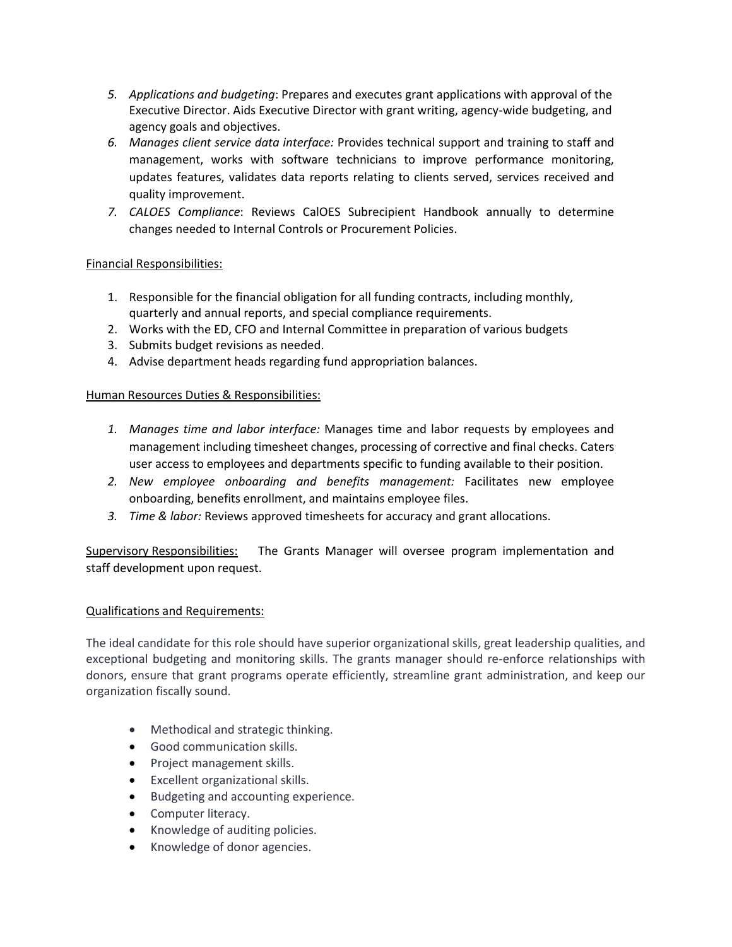- *5. Applications and budgeting*: Prepares and executes grant applications with approval of the Executive Director. Aids Executive Director with grant writing, agency-wide budgeting, and agency goals and objectives.
- *6. Manages client service data interface:* Provides technical support and training to staff and management, works with software technicians to improve performance monitoring, updates features, validates data reports relating to clients served, services received and quality improvement.
- *7. CALOES Compliance*: Reviews CalOES Subrecipient Handbook annually to determine changes needed to Internal Controls or Procurement Policies.

# Financial Responsibilities:

- 1. Responsible for the financial obligation for all funding contracts, including monthly, quarterly and annual reports, and special compliance requirements.
- 2. Works with the ED, CFO and Internal Committee in preparation of various budgets
- 3. Submits budget revisions as needed.
- 4. Advise department heads regarding fund appropriation balances.

# Human Resources Duties & Responsibilities:

- *1. Manages time and labor interface:* Manages time and labor requests by employees and management including timesheet changes, processing of corrective and final checks. Caters user access to employees and departments specific to funding available to their position.
- *2. New employee onboarding and benefits management:* Facilitates new employee onboarding, benefits enrollment, and maintains employee files.
- *3. Time & labor:* Reviews approved timesheets for accuracy and grant allocations.

Supervisory Responsibilities: The Grants Manager will oversee program implementation and staff development upon request.

# Qualifications and Requirements:

The ideal candidate for this role should have superior organizational skills, great leadership qualities, and exceptional budgeting and monitoring skills. The grants manager should re-enforce relationships with donors, ensure that grant programs operate efficiently, streamline grant administration, and keep our organization fiscally sound.

- Methodical and strategic thinking.
- Good communication skills.
- Project management skills.
- Excellent organizational skills.
- Budgeting and accounting experience.
- Computer literacy.
- Knowledge of auditing policies.
- Knowledge of donor agencies.